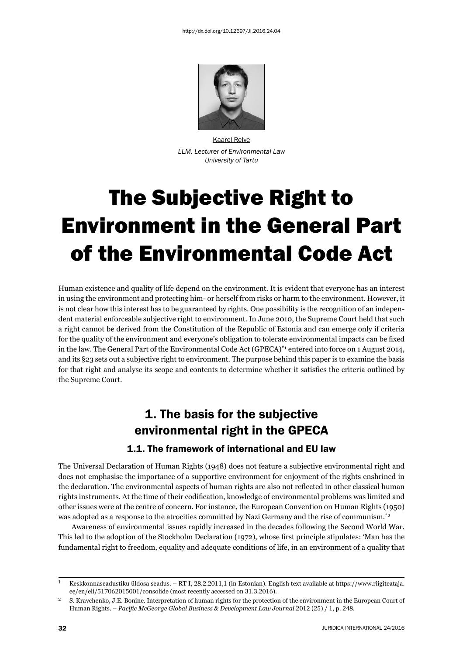

Kaarel Relve *LLM, Lecturer of Environmental Law University of Tartu*

# The Subjective Right to Environment in the General Part of the Environmental Code Act

Human existence and quality of life depend on the environment. It is evident that everyone has an interest in using the environment and protecting him- or herself from risks or harm to the environment. However, it is not clear how this interest has to be guaranteed by rights. One possibility is the recognition of an independent material enforceable subjective right to environment. In June 2010, the Supreme Court held that such a right cannot be derived from the Constitution of the Republic of Estonia and can emerge only if criteria for the quality of the environment and everyone's obligation to tolerate environmental impacts can be fixed in the law. The General Part of the Environmental Code Act (GPECA)**\*1** entered into force on 1 August 2014, and its §23 sets out a subjective right to environment. The purpose behind this paper is to examine the basis for that right and analyse its scope and contents to determine whether it satisfies the criteria outlined by the Supreme Court.

# 1. The basis for the subjective environmental right in the GPECA

# 1.1. The framework of international and EU law

The Universal Declaration of Human Rights (1948) does not feature a subjective environmental right and does not emphasise the importance of a supportive environment for enjoyment of the rights enshrined in the declaration. The environmental aspects of human rights are also not reflected in other classical human rights instruments. At the time of their codification, knowledge of environmental problems was limited and other issues were at the centre of concern. For instance, the European Convention on Human Rights (1950) was adopted as a response to the atrocities committed by Nazi Germany and the rise of communism.<sup>\*2</sup>

Awareness of environmental issues rapidly increased in the decades following the Second World War. This led to the adoption of the Stockholm Declaration (1972), whose first principle stipulates: 'Man has the fundamental right to freedom, equality and adequate conditions of life, in an environment of a quality that

 $1$  Keskkonnaseadustiku üldosa seadus. – RT I, 28.2.2011,1 (in Estonian). English text available at https://www.riigiteataja. ee/en/eli/517062015001/consolide (most recently accessed on 31.3.2016).

<sup>&</sup>lt;sup>2</sup> S. Kravchenko, J.E. Bonine. Interpretation of human rights for the protection of the environment in the European Court of Human Rights. – Pacific McGeorge Global Business & Development Law Journal 2012 (25) / 1, p. 248.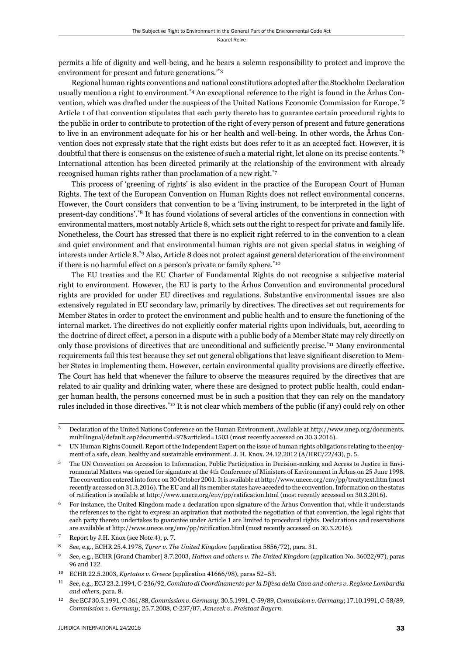permits a life of dignity and well-being, and he bears a solemn responsibility to protect and improve the environment for present and future generations.'\*3

Regional human rights conventions and national constitutions adopted after the Stockholm Declaration usually mention a right to environment.<sup>\*4</sup> An exceptional reference to the right is found in the Århus Convention, which was drafted under the auspices of the United Nations Economic Commission for Europe.\*5 Article 1 of that convention stipulates that each party thereto has to guarantee certain procedural rights to the public in order to contribute to protection of the right of every person of present and future generations to live in an environment adequate for his or her health and well-being. In other words, the Århus Convention does not expressly state that the right exists but does refer to it as an accepted fact. However, it is doubtful that there is consensus on the existence of such a material right, let alone on its precise contents.\*6 International attention has been directed primarily at the relationship of the environment with already recognised human rights rather than proclamation of a new right.\*7

This process of 'greening of rights' is also evident in the practice of the European Court of Human Rights. The text of the European Convention on Human Rights does not reflect environmental concerns. However, the Court considers that convention to be a 'living instrument, to be interpreted in the light of present-day conditions'.\*8 It has found violations of several articles of the conventions in connection with environmental matters, most notably Article 8, which sets out the right to respect for private and family life. Nonetheless, the Court has stressed that there is no explicit right referred to in the convention to a clean and quiet environment and that environmental human rights are not given special status in weighing of interests under Article 8.\*9 Also, Article 8 does not protect against general deterioration of the environment if there is no harmful effect on a person's private or family sphere.<sup>\*10</sup>

The EU treaties and the EU Charter of Fundamental Rights do not recognise a subjective material right to environment. However, the EU is party to the Århus Convention and environmental procedural rights are provided for under EU directives and regulations. Substantive environmental issues are also extensively regulated in EU secondary law, primarily by directives. The directives set out requirements for Member States in order to protect the environment and public health and to ensure the functioning of the internal market. The directives do not explicitly confer material rights upon individuals, but, according to the doctrine of direct effect, a person in a dispute with a public body of a Member State may rely directly on only those provisions of directives that are unconditional and sufficiently precise.<sup>\*11</sup> Many environmental requirements fail this test because they set out general obligations that leave significant discretion to Member States in implementing them. However, certain environmental quality provisions are directly effective. The Court has held that whenever the failure to observe the measures required by the directives that are related to air quality and drinking water, where these are designed to protect public health, could endanger human health, the persons concerned must be in such a position that they can rely on the mandatory rules included in those directives.\*12 It is not clear which members of the public (if any) could rely on other

<sup>ɴ</sup> Declaration of the United Nations Conference on the Human Environment. Available at http://www.unep.org/documents. multilingual/default.asp?documentid=97&articleid=1503 (most recently accessed on 30.3.2016).

ɵ UN Human Rights Council. Report of the Independent Expert on the issue of human rights obligations relating to the enjoyment of a safe, clean, healthy and sustainable environment. J. H. Knox. 24.12.2012 (A/HRC/22/43), p. 5.

ɶ The UN Convention on Accession to Information, Public Participation in Decision-making and Access to Justice in Environmental Matters was opened for signature at the 4th Conference of Ministers of Environment in Århus on 25 June 1998. The convention entered into force on 30 October 2001. It is available at http://www.unece.org/env/pp/treatytext.htm (most recently accessed on 31.3.2016). The EU and all its member states have acceded to the convention. Information on the status of ratification is available at http://www.unece.org/env/pp/ratification.html (most recently accessed on 30.3.2016).

For instance, the United Kingdom made a declaration upon signature of the Århus Convention that, while it understands the references to the right to express an aspiration that motivated the negotiation of that convention, the legal rights that each party thereto undertakes to guarantee under Article 1 are limited to procedural rights. Declarations and reservations are available at http://www.unece.org/env/pp/ratification.html (most recently accessed on 30.3.2016).

Report by J.H. Knox (see Note 4), p. 7.

<sup>&</sup>lt;sup>8</sup> See, e.g., ECHR 25.4.1978, *Tyrer v. The United Kingdom* (application 5856/72), para. 31.

<sup>&</sup>lt;sup>9</sup> See, e.g., ECHR [Grand Chamber] 8.7.2003, *Hatton and others v. The United Kingdom* (application No. 36022/97), paras 96 and 122.

<sup>&</sup>lt;sup>10</sup> ECHR 22.5.2003, *Kyrtatos v. Greece* (application 41666/98), paras 52–53.

<sup>&</sup>lt;sup>11</sup> See, e.g., ECJ 23.2.1994, C-236/92, *Comitato di Coordinamento per la Difesa della Cava and others v. Regione Lombardia*  $and others, para. 8.$ 

<sup>1&</sup>lt;sup>2</sup> See ECJ 30.5.1991, C-361/88, *Commission v. Germany*; 30.5.1991, C-59/89, *Commission v. Germany*; 17.10.1991, C-58/89, *Commission v. Germany*; ɳɶ.ɸ.ɳɱɱɹ, C-ɳɴɸ/ɱɸ, *Janecek v. Freistaat Bayern*.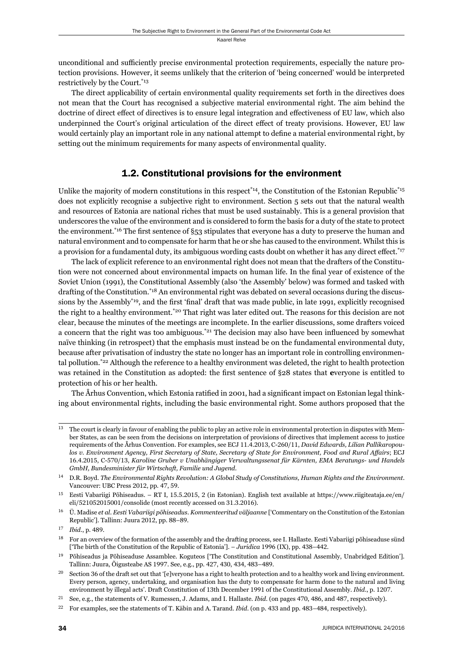unconditional and sufficiently precise environmental protection requirements, especially the nature protection provisions. However, it seems unlikely that the criterion of 'being concerned' would be interpreted restrictively by the Court.\*13

The direct applicability of certain environmental quality requirements set forth in the directives does not mean that the Court has recognised a subjective material environmental right. The aim behind the doctrine of direct effect of directives is to ensure legal integration and effectiveness of EU law, which also underpinned the Court's original articulation of the direct effect of treaty provisions. However, EU law would certainly play an important role in any national attempt to define a material environmental right, by setting out the minimum requirements for many aspects of environmental quality.

# 1.2. Constitutional provisions for the environment

Unlike the majority of modern constitutions in this respect<sup>\*14</sup>, the Constitution of the Estonian Republic<sup>\*15</sup> does not explicitly recognise a subjective right to environment. Section 5 sets out that the natural wealth and resources of Estonia are national riches that must be used sustainably. This is a general provision that underscores the value of the environment and is considered to form the basis for a duty of the state to protect the environment.<sup>\*16</sup> The first sentence of §53 stipulates that everyone has a duty to preserve the human and natural environment and to compensate for harm that he or she has caused to the environment. Whilst this is a provision for a fundamental duty, its ambiguous wording casts doubt on whether it has any direct effect.<sup>\*17</sup>

The lack of explicit reference to an environmental right does not mean that the drafters of the Constitution were not concerned about environmental impacts on human life. In the final year of existence of the Soviet Union (1991), the Constitutional Assembly (also 'the Assembly' below) was formed and tasked with drafting of the Constitution.\*18 An environmental right was debated on several occasions during the discussions by the Assembly\*<sup>19</sup>, and the first 'final' draft that was made public, in late 1991, explicitly recognised the right to a healthy environment.\*20 That right was later edited out. The reasons for this decision are not clear, because the minutes of the meetings are incomplete. In the earlier discussions, some drafters voiced a concern that the right was too ambiguous.<sup>\*21</sup> The decision may also have been influenced by somewhat naïve thinking (in retrospect) that the emphasis must instead be on the fundamental environmental duty, because after privatisation of industry the state no longer has an important role in controlling environmental pollution.\*22 Although the reference to a healthy environment was deleted, the right to health protection was retained in the Constitution as adopted: the first sentence of §28 states that **e**veryone is entitled to protection of his or her health.

The Århus Convention, which Estonia ratified in 2001, had a significant impact on Estonian legal thinking about environmental rights, including the basic environmental right. Some authors proposed that the

<sup>&</sup>lt;sup>13</sup> The court is clearly in favour of enabling the public to play an active role in environmental protection in disputes with Member States, as can be seen from the decisions on interpretation of provisions of directives that implement access to justice requirements of the Århus Convention. For examples, see ECJ 11.4.2013, C-260/11, *David Edwards, Lilian Pallikaropoulos v. Environment Agency, First Secretary of State, Secretary of State for Environment, Food and Rural Aff airs*; ECJ ɲɷ.ɵ.ɳɱɲɶ, C-ɶɸɱ/ɲɴ, *Karoline Gruber v Unabhängiger Verwaltungssenat für Kärnten, EMA Beratungs- und Handels GmbH, Bundesminister für Wirtschaft, Familie und Jugend*.

ɲɵ D.R. Boyd. *The Environmental Rights Revolution: A Global Study of Constitutions, Human Rights and the Environment*. Vancouver: UBC Press 2012, pp. 47, 59.

<sup>&</sup>lt;sup>15</sup> Eesti Vabariigi Põhiseadus. – RT I, 15.5.2015, 2 (in Estonian). English text available at https://www.riigiteataja.ee/en/ eli/521052015001/consolide (most recently accessed on 31.3.2016).

ɲɷ Ü. Madise *et al*. *Eesti Vabariigi põhiseadus. Kommenteeritud väljaanne* ['Commentary on the Constitution of the Estonian Republic']. Tallinn: Juura 2012, pp. 88-89.

<sup>17</sup> *Ibid.*, p. 489.

<sup>&</sup>lt;sup>18</sup> For an overview of the formation of the assembly and the drafting process, see I. Hallaste. Eesti Vabariigi põhiseaduse sünd ['The birth of the Constitution of the Republic of Estonia']. – *Juridica* 1996 (IX), pp. 438-442.

<sup>&</sup>lt;sup>19</sup> Põhiseadus ja Põhiseaduse Assamblee. Koguteos ['The Constitution and Constitutional Assembly, Unabridged Edition']. Tallinn: Juura, Õigusteabe AS 1997. See, e.g., pp. 427, 430, 434, 483-489.

<sup>&</sup>lt;sup>20</sup> Section 36 of the draft set out that '[e]veryone has a right to health protection and to a healthy work and living environment. Every person, agency, undertaking, and organisation has the duty to compensate for harm done to the natural and living environment by illegal acts'. Draft Constitution of 13th December 1991 of the Constitutional Assembly. *Ibid.*, p. 1207.

See, e.g., the statements of V. Rumessen, J. Adams, and I. Hallaste. *Ibid.* (on pages 470, 486, and 487, respectively).

<sup>&</sup>lt;sup>22</sup> For examples, see the statements of T. Käbin and A. Tarand. *Ibid.* (on p. 433 and pp. 483–484, respectively).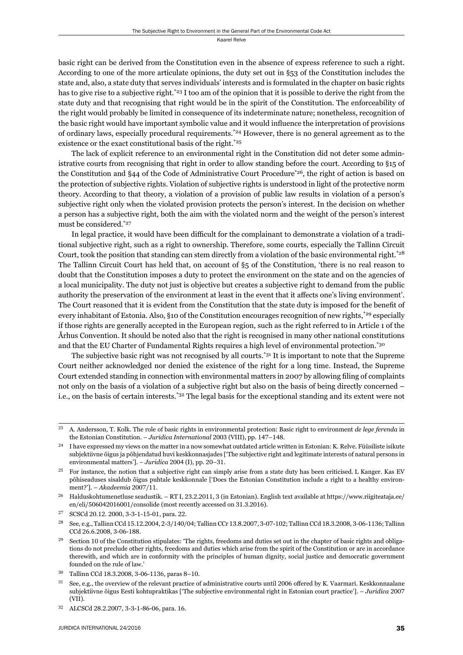basic right can be derived from the Constitution even in the absence of express reference to such a right. According to one of the more articulate opinions, the duty set out in §53 of the Constitution includes the state and, also, a state duty that serves individuals' interests and is formulated in the chapter on basic rights has to give rise to a subjective right.<sup>\*23</sup> I too am of the opinion that it is possible to derive the right from the state duty and that recognising that right would be in the spirit of the Constitution. The enforceability of the right would probably be limited in consequence of its indeterminate nature; nonetheless, recognition of the basic right would have important symbolic value and it would influence the interpretation of provisions of ordinary laws, especially procedural requirements.\*24 However, there is no general agreement as to the existence or the exact constitutional basis of the right.<sup>\*25</sup>

The lack of explicit reference to an environmental right in the Constitution did not deter some administrative courts from recognising that right in order to allow standing before the court. According to §15 of the Constitution and §44 of the Code of Administrative Court Procedure<sup>\*26</sup>, the right of action is based on the protection of subjective rights. Violation of subjective rights is understood in light of the protective norm theory. According to that theory, a violation of a provision of public law results in violation of a person's subjective right only when the violated provision protects the person's interest. In the decision on whether a person has a subjective right, both the aim with the violated norm and the weight of the person's interest must be considered.\*27

In legal practice, it would have been difficult for the complainant to demonstrate a violation of a traditional subjective right, such as a right to ownership. Therefore, some courts, especially the Tallinn Circuit Court, took the position that standing can stem directly from a violation of the basic environmental right.<sup>\*28</sup> The Tallinn Circuit Court has held that, on account of §5 of the Constitution, 'there is no real reason to doubt that the Constitution imposes a duty to protect the environment on the state and on the agencies of a local municipality. The duty not just is objective but creates a subjective right to demand from the public authority the preservation of the environment at least in the event that it affects one's living environment'. The Court reasoned that it is evident from the Constitution that the state duty is imposed for the benefi t of every inhabitant of Estonia. Also, §10 of the Constitution encourages recognition of new rights,<sup>\*29</sup> especially if those rights are generally accepted in the European region, such as the right referred to in Article 1 of the Århus Convention. It should be noted also that the right is recognised in many other national constitutions and that the EU Charter of Fundamental Rights requires a high level of environmental protection.\*30

The subjective basic right was not recognised by all courts.<sup>\*31</sup> It is important to note that the Supreme Court neither acknowledged nor denied the existence of the right for a long time. Instead, the Supreme Court extended standing in connection with environmental matters in 2007 by allowing filing of complaints not only on the basis of a violation of a subjective right but also on the basis of being directly concerned – i.e., on the basis of certain interests.\*32 The legal basis for the exceptional standing and its extent were not

ɳɴ A. Andersson, T. Kolk. The role of basic rights in environmental protection: Basic right to environment *de lege ferenda* in the Estonian Constitution. – *Juridica International* 2003 (VIII), pp. 147–148.

 $24$  I have expressed my views on the matter in a now somewhat outdated article written in Estonian: K. Relve. Füüsiliste isikute subjektiivne õigus ja põhjendatud huvi keskkonnasjades ['The subjective right and legitimate interests of natural persons in environmental matters']. – Juridica 2004 (I), pp. 20-31.

For instance, the notion that a subjective right can simply arise from a state duty has been criticised. L Kanger. Kas EV põhiseaduses sisaldub õigus puhtale keskkonnale ['Does the Estonian Constitution include a right to a healthy environment?']. – *Akadeemia* 2007/11.

Halduskohtumenetluse seadustik. – RT I, 23.2.2011, 3 (in Estonian). English text available at https://www.riigiteataja.ee/ en/eli/506042016001/consolide (most recently accessed on 31.3.2016).

<sup>27</sup> SCSCd 20.12. 2000, 3-3-1-15-01, para. 22.

<sup>&</sup>lt;sup>28</sup> See, e.g., Tallinn CCd 15.12.2004, 2-3/140/04; Tallinn CCr 13.8.2007, 3-07-102; Tallinn CCd 18.3.2008, 3-06-1136; Tallinn CCd 26.6.2008, 3-06-188.

<sup>&</sup>lt;sup>29</sup> Section 10 of the Constitution stipulates: 'The rights, freedoms and duties set out in the chapter of basic rights and obligations do not preclude other rights, freedoms and duties which arise from the spirit of the Constitution or are in accordance therewith, and which are in conformity with the principles of human dignity, social justice and democratic government founded on the rule of law.'

<sup>&</sup>lt;sup>30</sup> Tallinn CCd 18.3.2008, 3-06-1136, paras 8-10.

See, e.g., the overview of the relevant practice of administrative courts until 2006 offered by K. Vaarmari. Keskkonnaalane subjektiivne õigus Eesti kohtupraktikas ['The subjective environmental right in Estonian court practice']. – *Juridica* 2007 (VII).

<sup>32</sup> ALCSCd 28.2.2007, 3-3-1-86-06, para. 16.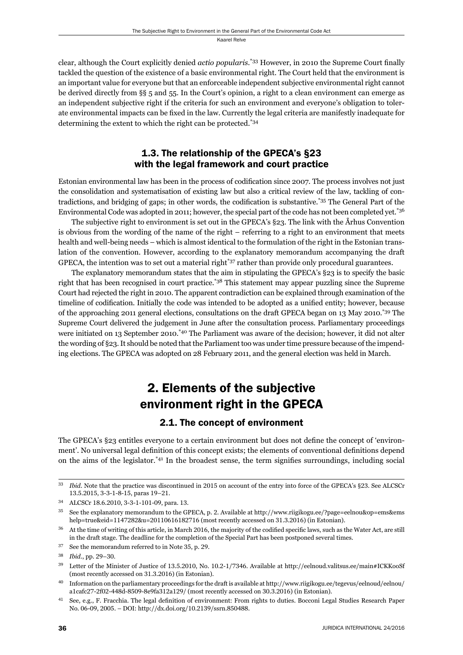clear, although the Court explicitly denied *actio popularis*.<sup>\*33</sup> However, in 2010 the Supreme Court finally tackled the question of the existence of a basic environmental right. The Court held that the environment is an important value for everyone but that an enforceable independent subjective environmental right cannot be derived directly from §§ 5 and 55. In the Court's opinion, a right to a clean environment can emerge as an independent subjective right if the criteria for such an environment and everyone's obligation to tolerate environmental impacts can be fixed in the law. Currently the legal criteria are manifestly inadequate for determining the extent to which the right can be protected.\*34

## 1.3. The relationship of the GPECA's §23 with the legal framework and court practice

Estonian environmental law has been in the process of codification since 2007. The process involves not just the consolidation and systematisation of existing law but also a critical review of the law, tackling of contradictions, and bridging of gaps; in other words, the codification is substantive.<sup>\*35</sup> The General Part of the Environmental Code was adopted in 2011; however, the special part of the code has not been completed yet.\*36

The subjective right to environment is set out in the GPECA's §23. The link with the Århus Convention is obvious from the wording of the name of the right – referring to a right to an environment that meets health and well-being needs – which is almost identical to the formulation of the right in the Estonian translation of the convention. However, according to the explanatory memorandum accompanying the draft GPECA, the intention was to set out a material right<sup>\*37</sup> rather than provide only procedural guarantees.

The explanatory memorandum states that the aim in stipulating the GPECA's §23 is to specify the basic right that has been recognised in court practice.\*38 This statement may appear puzzling since the Supreme Court had rejected the right in 2010. The apparent contradiction can be explained through examination of the timeline of codification. Initially the code was intended to be adopted as a unified entity; however, because of the approaching 2011 general elections, consultations on the draft GPECA began on 13 May 2010.\*39 The Supreme Court delivered the judgement in June after the consultation process. Parliamentary proceedings were initiated on 13 September 2010.<sup>\*40</sup> The Parliament was aware of the decision; however, it did not alter the wording of §23. It should be noted that the Parliament too was under time pressure because of the impending elections. The GPECA was adopted on 28 February 2011, and the general election was held in March.

# 2. Elements of the subjective environment right in the GPECA

#### 2.1. The concept of environment

The GPECA's §23 entitles everyone to a certain environment but does not define the concept of 'environment'. No universal legal definition of this concept exists; the elements of conventional definitions depend on the aims of the legislator. $*41$  In the broadest sense, the term signifies surroundings, including social

<sup>&</sup>lt;sup>33</sup> *Ibid*. Note that the practice was discontinued in 2015 on account of the entry into force of the GPECA's §23. See ALCSCr 13.5.2015, 3-3-1-8-15, paras 19-21.

<sup>34</sup> ALCSCr 18.6.2010, 3-3-1-101-09, para. 13.

<sup>&</sup>lt;sup>35</sup> See the explanatory memorandum to the GPECA, p. 2. Available at http://www.riigikogu.ee/?page=eelnou&op=ems&ems help=true&eid=1147282&u=20110616182716 (most recently accessed on 31.3.2016) (in Estonian).

<sup>&</sup>lt;sup>36</sup> At the time of writing of this article, in March 2016, the majority of the codified specific laws, such as the Water Act, are still in the draft stage. The deadline for the completion of the Special Part has been postponed several times.

<sup>&</sup>lt;sup>37</sup> See the memorandum referred to in Note 35, p. 29.

<sup>38</sup> *Ibid.*, pp. 29-30.

<sup>&</sup>lt;sup>39</sup> Letter of the Minister of Justice of 13.5.2010, No. 10.2-1/7346. Available at http://eelnoud.valitsus.ee/main#ICKKooSf (most recently accessed on 31.3.2016) (in Estonian).

<sup>&</sup>lt;sup>40</sup> Information on the parliamentary proceedings for the draft is available at http://www.riigikogu.ee/tegevus/eelnoud/eelnou/ a1cafc27-2f02-448d-8509-8e9fa312a129/ (most recently accessed on 30.3.2016) (in Estonian).

<sup>&</sup>lt;sup>41</sup> See, e.g., F. Fracchia. The legal definition of environment: From rights to duties. Bocconi Legal Studies Research Paper No. 06-09, 2005. – DOI: http://dx.doi.org/10.2139/ssrn.850488.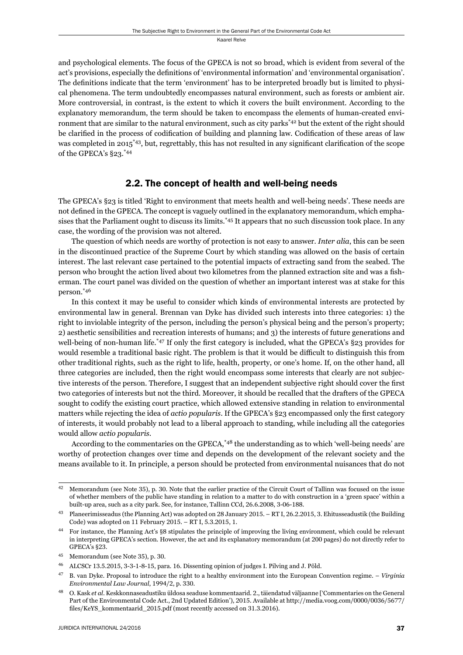and psychological elements. The focus of the GPECA is not so broad, which is evident from several of the act's provisions, especially the definitions of 'environmental information' and 'environmental organisation'. The definitions indicate that the term 'environment' has to be interpreted broadly but is limited to physical phenomena. The term undoubtedly encompasses natural environment, such as forests or ambient air. More controversial, in contrast, is the extent to which it covers the built environment. According to the explanatory memorandum, the term should be taken to encompass the elements of human-created environment that are similar to the natural environment, such as city parks<sup>\*42</sup> but the extent of the right should be clarified in the process of codification of building and planning law. Codification of these areas of law was completed in 2015<sup> $*43$ </sup>, but, regrettably, this has not resulted in any significant clarification of the scope of the GPECA's §23.\*44

#### 2.2. The concept of health and well-being needs

The GPECA's §23 is titled 'Right to environment that meets health and well-being needs'. These needs are not defined in the GPECA. The concept is vaguely outlined in the explanatory memorandum, which emphasises that the Parliament ought to discuss its limits.<sup>\*45</sup> It appears that no such discussion took place. In any case, the wording of the provision was not altered.

The question of which needs are worthy of protection is not easy to answer. *Inter alia*, this can be seen in the discontinued practice of the Supreme Court by which standing was allowed on the basis of certain interest. The last relevant case pertained to the potential impacts of extracting sand from the seabed. The person who brought the action lived about two kilometres from the planned extraction site and was a fisherman. The court panel was divided on the question of whether an important interest was at stake for this person.\*46

In this context it may be useful to consider which kinds of environmental interests are protected by environmental law in general. Brennan van Dyke has divided such interests into three categories: 1) the right to inviolable integrity of the person, including the person's physical being and the person's property; 2) aesthetic sensibilities and recreation interests of humans; and 3) the interests of future generations and well-being of non-human life.\*47 If only the first category is included, what the GPECA's §23 provides for would resemble a traditional basic right. The problem is that it would be difficult to distinguish this from other traditional rights, such as the right to life, health, property, or one's home. If, on the other hand, all three categories are included, then the right would encompass some interests that clearly are not subjective interests of the person. Therefore, I suggest that an independent subjective right should cover the first two categories of interests but not the third. Moreover, it should be recalled that the drafters of the GPECA sought to codify the existing court practice, which allowed extensive standing in relation to environmental matters while rejecting the idea of *actio popularis*. If the GPECA's §23 encompassed only the first category of interests, it would probably not lead to a liberal approach to standing, while including all the categories would allow *actio popularis*.

According to the commentaries on the GPECA,<sup>\*48</sup> the understanding as to which 'well-being needs' are worthy of protection changes over time and depends on the development of the relevant society and the means available to it. In principle, a person should be protected from environmental nuisances that do not

<sup>&</sup>lt;sup>42</sup> Memorandum (see Note 35), p. 30. Note that the earlier practice of the Circuit Court of Tallinn was focused on the issue of whether members of the public have standing in relation to a matter to do with construction in a 'green space' within a built-up area, such as a city park. See, for instance, Tallinn CCd, 26.6.2008, 3-06-188.

<sup>&</sup>lt;sup>43</sup> Planeerimisseadus (the Planning Act) was adopted on 28 January 2015. – RT I, 26.2.2015, 3. Ehitusseadustik (the Building Code) was adopted on 11 February 2015. – RT I, 5.3.2015, 1.

<sup>&</sup>lt;sup>44</sup> For instance, the Planning Act's §8 stipulates the principle of improving the living environment, which could be relevant in interpreting GPECA's section. However, the act and its explanatory memorandum (at 200 pages) do not directly refer to GPECA's §23.

<sup>&</sup>lt;sup>45</sup> Memorandum (see Note 35), p. 30.

<sup>&</sup>lt;sup>46</sup> ALCSCr 13.5.2015, 3-3-1-8-15, para. 16. Dissenting opinion of judges I. Pilving and J. Põld.

ɵɸ B. van Dyke. Proposal to introduce the right to a healthy environment into the European Convention regime. – *Virginia Environmental Law Journal*, 1994/2, p. 330.

O. Kask et al. Keskkonnaseadustiku üldosa seaduse kommentaarid. 2., täiendatud väljaanne ['Commentaries on the General Part of the Environmental Code Act., 2nd Updated Edition'), 2015. Available at http://media.voog.com/0000/0036/5677/ files/KeYS\_kommentaarid\_2015.pdf (most recently accessed on 31.3.2016).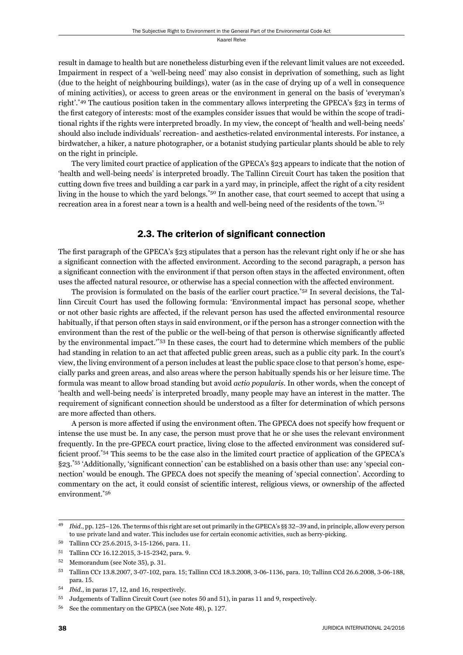result in damage to health but are nonetheless disturbing even if the relevant limit values are not exceeded. Impairment in respect of a 'well-being need' may also consist in deprivation of something, such as light (due to the height of neighbouring buildings), water (as in the case of drying up of a well in consequence of mining activities), or access to green areas or the environment in general on the basis of 'everyman's right'.\*49 The cautious position taken in the commentary allows interpreting the GPECA's §23 in terms of the first category of interests: most of the examples consider issues that would be within the scope of traditional rights if the rights were interpreted broadly. In my view, the concept of 'health and well-being needs' should also include individuals' recreation- and aesthetics-related environmental interests. For instance, a birdwatcher, a hiker, a nature photographer, or a botanist studying particular plants should be able to rely on the right in principle.

The very limited court practice of application of the GPECA's §23 appears to indicate that the notion of 'health and well-being needs' is interpreted broadly. The Tallinn Circuit Court has taken the position that cutting down five trees and building a car park in a yard may, in principle, affect the right of a city resident living in the house to which the yard belongs.<sup>\*50</sup> In another case, that court seemed to accept that using a recreation area in a forest near a town is a health and well-being need of the residents of the town.<sup>\*51</sup>

## 2.3. The criterion of significant connection

The first paragraph of the GPECA's §23 stipulates that a person has the relevant right only if he or she has a significant connection with the affected environment. According to the second paragraph, a person has a significant connection with the environment if that person often stays in the affected environment, often uses the affected natural resource, or otherwise has a special connection with the affected environment.

The provision is formulated on the basis of the earlier court practice.\*52 In several decisions, the Tallinn Circuit Court has used the following formula: 'Environmental impact has personal scope, whether or not other basic rights are affected, if the relevant person has used the affected environmental resource habitually, if that person often stays in said environment, or if the person has a stronger connection with the environment than the rest of the public or the well-being of that person is otherwise significantly affected by the environmental impact.<sup>\*53</sup> In these cases, the court had to determine which members of the public had standing in relation to an act that affected public green areas, such as a public city park. In the court's view, the living environment of a person includes at least the public space close to that person's home, especially parks and green areas, and also areas where the person habitually spends his or her leisure time. The formula was meant to allow broad standing but avoid *actio popularis*. In other words, when the concept of 'health and well-being needs' is interpreted broadly, many people may have an interest in the matter. The requirement of significant connection should be understood as a filter for determination of which persons are more affected than others.

A person is more affected if using the environment often. The GPECA does not specify how frequent or intense the use must be. In any case, the person must prove that he or she uses the relevant environment frequently. In the pre-GPECA court practice, living close to the affected environment was considered sufficient proof.<sup>\*54</sup> This seems to be the case also in the limited court practice of application of the GPECA's §23.<sup>\*55</sup> 'Additionally, 'significant connection' can be established on a basis other than use: any 'special connection' would be enough. The GPECA does not specify the meaning of 'special connection'. According to commentary on the act, it could consist of scientific interest, religious views, or ownership of the affected environment.\*56

<sup>&</sup>lt;sup>49</sup> *Ibid.*, pp. 125–126. The terms of this right are set out primarily in the GPECA's §§ 32–39 and, in principle, allow every person to use private land and water. This includes use for certain economic activities, such as berry-picking.

<sup>50</sup> Tallinn CCr 25.6.2015, 3-15-1266, para. 11.

 $51$  Tallinn CCr 16.12.2015, 3-15-2342, para. 9.

<sup>&</sup>lt;sup>52</sup> Memorandum (see Note 35), p. 31.

<sup>53</sup> Tallinn CCr 13.8.2007, 3-07-102, para. 15; Tallinn CCd 18.3.2008, 3-06-1136, para. 10; Tallinn CCd 26.6.2008, 3-06-188, para. 15.

<sup>&</sup>lt;sup>54</sup> *Ibid.*, in paras 17, 12, and 16, respectively.

<sup>&</sup>lt;sup>55</sup> Judgements of Tallinn Circuit Court (see notes 50 and 51), in paras 11 and 9, respectively.

<sup>56</sup> See the commentary on the GPECA (see Note 48), p. 127.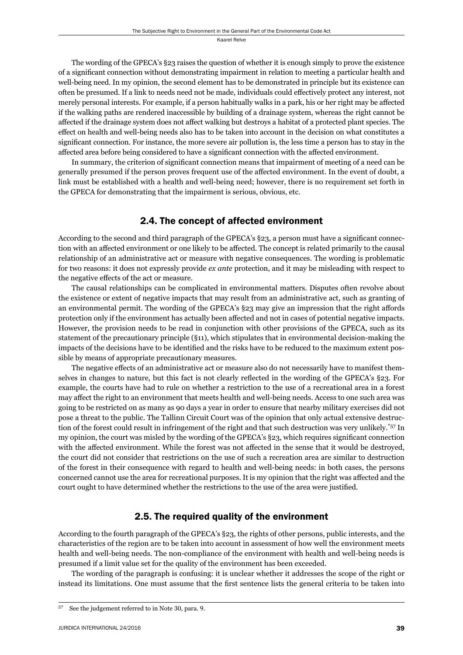The wording of the GPECA's §23 raises the question of whether it is enough simply to prove the existence of a significant connection without demonstrating impairment in relation to meeting a particular health and well-being need. In my opinion, the second element has to be demonstrated in principle but its existence can often be presumed. If a link to needs need not be made, individuals could effectively protect any interest, not merely personal interests. For example, if a person habitually walks in a park, his or her right may be affected if the walking paths are rendered inaccessible by building of a drainage system, whereas the right cannot be affected if the drainage system does not affect walking but destroys a habitat of a protected plant species. The effect on health and well-being needs also has to be taken into account in the decision on what constitutes a significant connection. For instance, the more severe air pollution is, the less time a person has to stay in the affected area before being considered to have a significant connection with the affected environment.

In summary, the criterion of significant connection means that impairment of meeting of a need can be generally presumed if the person proves frequent use of the affected environment. In the event of doubt, a link must be established with a health and well-being need; however, there is no requirement set forth in the GPECA for demonstrating that the impairment is serious, obvious, etc.

## 2.4. The concept of affected environment

According to the second and third paragraph of the GPECA's §23, a person must have a significant connection with an affected environment or one likely to be affected. The concept is related primarily to the causal relationship of an administrative act or measure with negative consequences. The wording is problematic for two reasons: it does not expressly provide *ex ante* protection, and it may be misleading with respect to the negative effects of the act or measure.

The causal relationships can be complicated in environmental matters. Disputes often revolve about the existence or extent of negative impacts that may result from an administrative act, such as granting of an environmental permit. The wording of the GPECA's §23 may give an impression that the right affords protection only if the environment has actually been affected and not in cases of potential negative impacts. However, the provision needs to be read in conjunction with other provisions of the GPECA, such as its statement of the precautionary principle (§11), which stipulates that in environmental decision-making the impacts of the decisions have to be identified and the risks have to be reduced to the maximum extent possible by means of appropriate precautionary measures.

The negative effects of an administrative act or measure also do not necessarily have to manifest themselves in changes to nature, but this fact is not clearly reflected in the wording of the GPECA's §23. For example, the courts have had to rule on whether a restriction to the use of a recreational area in a forest may affect the right to an environment that meets health and well-being needs. Access to one such area was going to be restricted on as many as 90 days a year in order to ensure that nearby military exercises did not pose a threat to the public. The Tallinn Circuit Court was of the opinion that only actual extensive destruction of the forest could result in infringement of the right and that such destruction was very unlikely.\*57 In my opinion, the court was misled by the wording of the GPECA's §23, which requires significant connection with the affected environment. While the forest was not affected in the sense that it would be destroyed, the court did not consider that restrictions on the use of such a recreation area are similar to destruction of the forest in their consequence with regard to health and well-being needs: in both cases, the persons concerned cannot use the area for recreational purposes. It is my opinion that the right was affected and the court ought to have determined whether the restrictions to the use of the area were justified.

# 2.5. The required quality of the environment

According to the fourth paragraph of the GPECA's §23, the rights of other persons, public interests, and the characteristics of the region are to be taken into account in assessment of how well the environment meets health and well-being needs. The non-compliance of the environment with health and well-being needs is presumed if a limit value set for the quality of the environment has been exceeded.

The wording of the paragraph is confusing: it is unclear whether it addresses the scope of the right or instead its limitations. One must assume that the first sentence lists the general criteria to be taken into

<sup>57</sup> See the judgement referred to in Note 30, para. 9.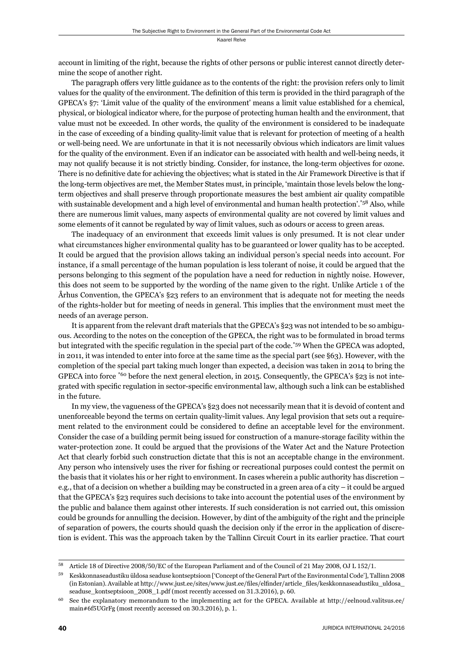account in limiting of the right, because the rights of other persons or public interest cannot directly determine the scope of another right.

The paragraph offers very little guidance as to the contents of the right: the provision refers only to limit values for the quality of the environment. The definition of this term is provided in the third paragraph of the GPECA's §7: 'Limit value of the quality of the environment' means a limit value established for a chemical, physical, or biological indicator where, for the purpose of protecting human health and the environment, that value must not be exceeded. In other words, the quality of the environment is considered to be inadequate in the case of exceeding of a binding quality-limit value that is relevant for protection of meeting of a health or well-being need. We are unfortunate in that it is not necessarily obvious which indicators are limit values for the quality of the environment. Even if an indicator can be associated with health and well-being needs, it may not qualify because it is not strictly binding. Consider, for instance, the long-term objectives for ozone. There is no definitive date for achieving the objectives; what is stated in the Air Framework Directive is that if the long-term objectives are met, the Member States must, in principle, 'maintain those levels below the longterm objectives and shall preserve through proportionate measures the best ambient air quality compatible with sustainable development and a high level of environmental and human health protection'.<sup>\*58</sup> Also, while there are numerous limit values, many aspects of environmental quality are not covered by limit values and some elements of it cannot be regulated by way of limit values, such as odours or access to green areas.

The inadequacy of an environment that exceeds limit values is only presumed. It is not clear under what circumstances higher environmental quality has to be guaranteed or lower quality has to be accepted. It could be argued that the provision allows taking an individual person's special needs into account. For instance, if a small percentage of the human population is less tolerant of noise, it could be argued that the persons belonging to this segment of the population have a need for reduction in nightly noise. However, this does not seem to be supported by the wording of the name given to the right. Unlike Article 1 of the Århus Convention, the GPECA's §23 refers to an environment that is adequate not for meeting the needs of the rights-holder but for meeting of needs in general. This implies that the environment must meet the needs of an average person.

It is apparent from the relevant draft materials that the GPECA's §23 was not intended to be so ambiguous. According to the notes on the conception of the GPECA, the right was to be formulated in broad terms but integrated with the specific regulation in the special part of the code.<sup>\*59</sup> When the GPECA was adopted, in 2011, it was intended to enter into force at the same time as the special part (see §63). However, with the completion of the special part taking much longer than expected, a decision was taken in 2014 to bring the GPECA into force  $*60$  before the next general election, in 2015. Consequently, the GPECA's §23 is not integrated with specific regulation in sector-specific environmental law, although such a link can be established in the future.

In my view, the vagueness of the GPECA's §23 does not necessarily mean that it is devoid of content and unenforceable beyond the terms on certain quality-limit values. Any legal provision that sets out a requirement related to the environment could be considered to define an acceptable level for the environment. Consider the case of a building permit being issued for construction of a manure-storage facility within the water-protection zone. It could be argued that the provisions of the Water Act and the Nature Protection Act that clearly forbid such construction dictate that this is not an acceptable change in the environment. Any person who intensively uses the river for fishing or recreational purposes could contest the permit on the basis that it violates his or her right to environment. In cases wherein a public authority has discretion – e.g., that of a decision on whether a building may be constructed in a green area of a city – it could be argued that the GPECA's §23 requires such decisions to take into account the potential uses of the environment by the public and balance them against other interests. If such consideration is not carried out, this omission could be grounds for annulling the decision. However, by dint of the ambiguity of the right and the principle of separation of powers, the courts should quash the decision only if the error in the application of discretion is evident. This was the approach taken by the Tallinn Circuit Court in its earlier practice. That court

<sup>58</sup> Article 18 of Directive 2008/50/EC of the European Parliament and of the Council of 21 May 2008, OJ L 152/1.

 $59$  Keskkonnaseadustiku üldosa seaduse kontseptsioon ['Concept of the General Part of the Environmental Code'], Tallinn 2008 (in Estonian). Available at http://www.just.ee/sites/www.just.ee/files/elfinder/article\_files/keskkonnaseadustiku\_uldosa\_ seaduse\_kontseptsioon\_2008\_1.pdf (most recently accessed on 31.3.2016), p. 60.

ɷɱ See the explanatory memorandum to the implementing act for the GPECA. Available at http://eelnoud.valitsus.ee/ main#6f5UGrFg (most recently accessed on 30.3.2016), p. 1.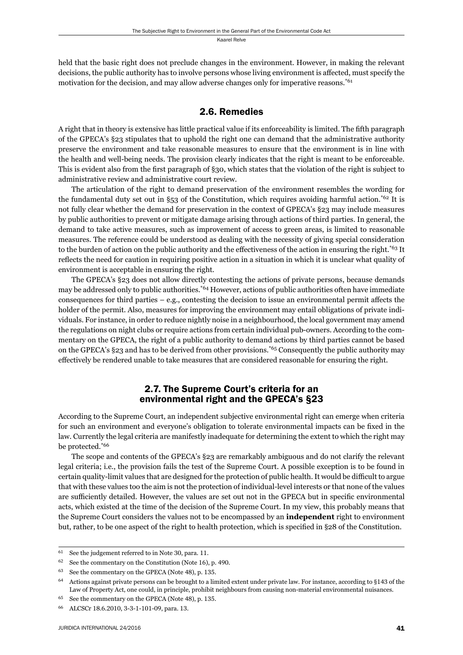held that the basic right does not preclude changes in the environment. However, in making the relevant decisions, the public authority has to involve persons whose living environment is affected, must specify the motivation for the decision, and may allow adverse changes only for imperative reasons.<sup>\*61</sup>

#### 2.6. Remedies

A right that in theory is extensive has little practical value if its enforceability is limited. The fifth paragraph of the GPECA's §23 stipulates that to uphold the right one can demand that the administrative authority preserve the environment and take reasonable measures to ensure that the environment is in line with the health and well-being needs. The provision clearly indicates that the right is meant to be enforceable. This is evident also from the first paragraph of §30, which states that the violation of the right is subject to administrative review and administrative court review.

The articulation of the right to demand preservation of the environment resembles the wording for the fundamental duty set out in §53 of the Constitution, which requires avoiding harmful action.<sup>\*62</sup> It is not fully clear whether the demand for preservation in the context of GPECA's §23 may include measures by public authorities to prevent or mitigate damage arising through actions of third parties. In general, the demand to take active measures, such as improvement of access to green areas, is limited to reasonable measures. The reference could be understood as dealing with the necessity of giving special consideration to the burden of action on the public authority and the effectiveness of the action in ensuring the right.<sup>\*63</sup> It reflects the need for caution in requiring positive action in a situation in which it is unclear what quality of environment is acceptable in ensuring the right.

The GPECA's §23 does not allow directly contesting the actions of private persons, because demands may be addressed only to public authorities.<sup>\*64</sup> However, actions of public authorities often have immediate consequences for third parties  $-$  e.g., contesting the decision to issue an environmental permit affects the holder of the permit. Also, measures for improving the environment may entail obligations of private individuals. For instance, in order to reduce nightly noise in a neighbourhood, the local government may amend the regulations on night clubs or require actions from certain individual pub-owners. According to the commentary on the GPECA, the right of a public authority to demand actions by third parties cannot be based on the GPECA's §23 and has to be derived from other provisions.\*65 Consequently the public authority may effectively be rendered unable to take measures that are considered reasonable for ensuring the right.

#### 2.7. The Supreme Court's criteria for an environmental right and the GPECA's §23

According to the Supreme Court, an independent subjective environmental right can emerge when criteria for such an environment and everyone's obligation to tolerate environmental impacts can be fixed in the law. Currently the legal criteria are manifestly inadequate for determining the extent to which the right may be protected.\*66

The scope and contents of the GPECA's §23 are remarkably ambiguous and do not clarify the relevant legal criteria; i.e., the provision fails the test of the Supreme Court. A possible exception is to be found in certain quality-limit values that are designed for the protection of public health. It would be difficult to argue that with these values too the aim is not the protection of individual-level interests or that none of the values are sufficiently detailed. However, the values are set out not in the GPECA but in specific environmental acts, which existed at the time of the decision of the Supreme Court. In my view, this probably means that the Supreme Court considers the values not to be encompassed by an **independent** right to environment but, rather, to be one aspect of the right to health protection, which is specified in  $\S 28$  of the Constitution.

 $61$  See the judgement referred to in Note 30, para. 11.

 $62$  See the commentary on the Constitution (Note 16), p. 490.

<sup>&</sup>lt;sup>63</sup> See the commentary on the GPECA (Note 48), p. 135.

 $64$  Actions against private persons can be brought to a limited extent under private law. For instance, according to §143 of the Law of Property Act, one could, in principle, prohibit neighbours from causing non-material environmental nuisances.

See the commentary on the GPECA (Note 48), p. 135.

<sup>66</sup> ALCSCr 18.6.2010, 3-3-1-101-09, para. 13.